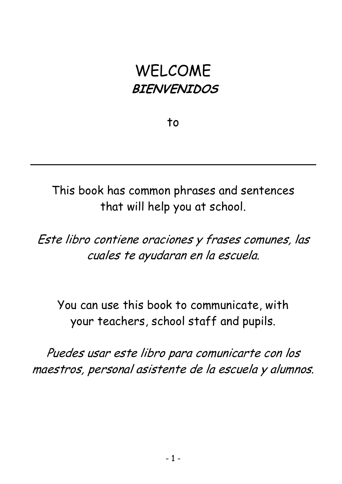# WELCOME  **BIENVENIDOS**

to

This book has common phrases and sentences that will help you at school.

Este libro contiene oraciones y frases comunes, las cuales te ayudaran en la escuela.

You can use this book to communicate, with your teachers, school staff and pupils.

Puedes usar este libro para comunicarte con los maestros, personal asistente de la escuela y alumnos.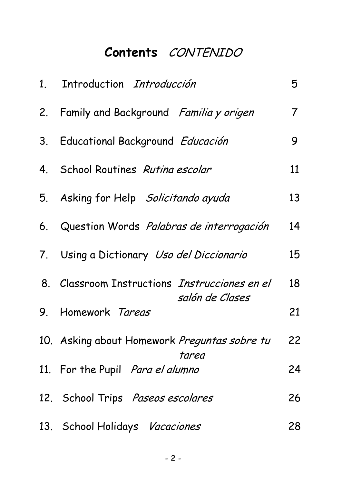## **Contents** CONTENIDO

| 1. Introduction Introducción                                            | 5  |
|-------------------------------------------------------------------------|----|
| 2. Family and Background Familia y origen                               | 7  |
| 3. Educational Background Educación                                     | 9  |
| 4. School Routines Rutina escolar                                       | 11 |
| 5. Asking for Help Solicitando ayuda                                    | 13 |
| 6. Question Words Palabras de interrogación                             | 14 |
| 7. Using a Dictionary Uso del Diccionario                               | 15 |
| 8. Classroom Instructions <i>Instrucciones en el</i><br>salón de Clases | 18 |
| 9. Homework Tareas                                                      | 21 |
| 10. Asking about Homework Preguntas sobre tu<br>tarea                   | 22 |
| 11. For the Pupil Para el alumno                                        | 24 |
| 12. School Trips Paseos escolares                                       | 26 |
| 13. School Holidays Vacaciones                                          | 28 |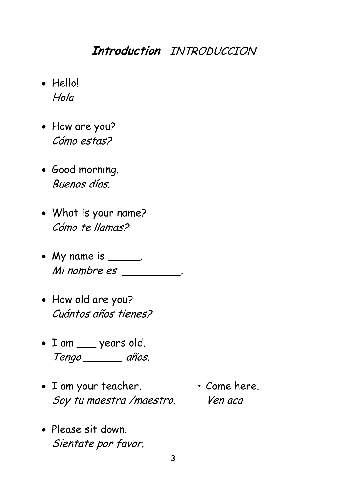### **Introduction** INTRODUCCION

- Hello! Hola
- How are you? Cómo estas?
- Good morning. Buenos días.
- What is your name? Cómo te llamas?
- My name is \_\_\_\_\_.  $M$ i nombre es  $\_\_$
- How old are you? Cuántos años tienes?
- I am \_\_\_ years old. Tengo \_\_\_\_\_\_ años.
- I am your teacher. **•** Come here. Soy tu maestra /maestro. Ven aca
- 

• Please sit down. Sientate por favor.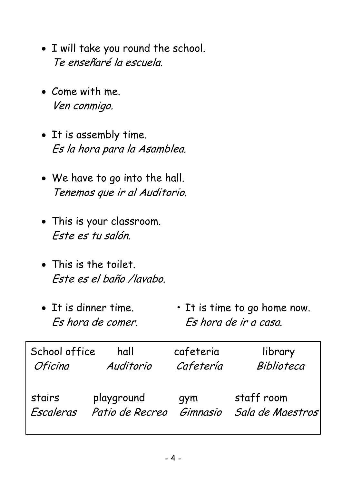- I will take you round the school. Te enseñaré la escuela.
- Come with me. Ven conmigo.
- It is assembly time. Es la hora para la Asamblea.
- We have to go into the hall. Tenemos que ir al Auditorio.
- This is your classroom. Este es tu salón.
- This is the toilet. Este es el baño /lavabo.
- It is dinner time. **•** It is time to go home now. Es hora de comer. Es hora de ir a casa.

| School office    | hall            | cafeteria | library          |
|------------------|-----------------|-----------|------------------|
| <i>Oficina</i>   | Auditorio       | Cafetería | Biblioteca       |
| stairs           | playground      | qym       | staff room       |
| <b>Fscaleras</b> | Patio de Recreo | Gimnasio  | Sala de Maestros |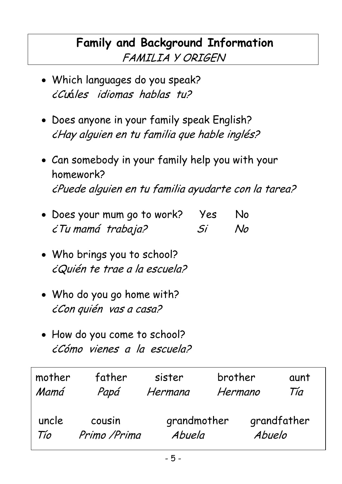### **Family and Background Information**  FAMILIA Y ORIGEN

- Which languages do you speak? ¿Cuáles idiomas hablas tu?
- Does anyone in your family speak English? ¿Hay alguien en tu familia que hable inglés?
- Can somebody in your family help you with your homework? ¿Puede alguien en tu familia ayudarte con la tarea?
- Does your mum go to work? Yes No ¿Tu mamá trabaja? Si No
- Who brings you to school? ¿Quién te trae a la escuela?
- Who do you go home with? ¿Con quién vas a casa?
- How do you come to school? ¿Cómo vienes a la escuela?

| mother       | father                  | sister                | brother |        | aunt        |
|--------------|-------------------------|-----------------------|---------|--------|-------------|
| Mamá         | Papá                    | Hermana               | Hermano |        | Tía         |
| uncle<br>Tío | cousin<br>Primo / Prima | grandmother<br>Abuela |         | Abuelo | grandfather |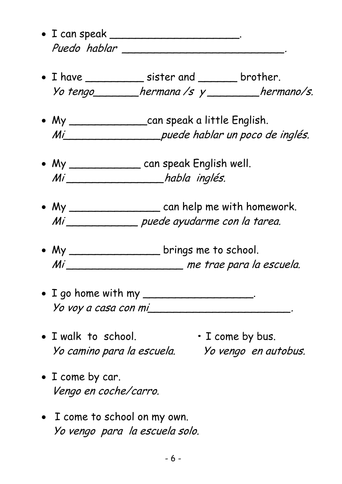- I can speak \_\_\_\_\_\_\_\_\_\_\_\_\_\_\_\_\_\_\_\_. Puedo hablar **de control de control de control de control de control de control de control de control de control de**
- I have \_\_\_\_\_\_\_\_\_\_\_ sister and \_\_\_\_\_\_ brother. Yo tengo hermana /s  $y$  \_\_\_\_\_\_hermano/s.
- My \_\_\_\_\_\_\_\_\_\_\_\_\_\_can speak a little English. Mi\_\_\_\_\_\_\_\_\_\_\_\_\_\_\_\_\_\_\_puede hablar un poco de inglés.
- My \_\_\_\_\_\_\_\_\_\_\_\_\_ can speak English well. Mi \_\_\_\_\_\_\_\_\_\_\_\_\_\_\_\_habla inglés.
- My \_\_\_\_\_\_\_\_\_\_\_\_\_\_\_\_\_\_ can help me with homework. Mi \_\_\_\_\_\_\_\_\_\_\_\_\_\_\_ puede ayudarme con la tarea.
- My \_\_\_\_\_\_\_\_\_\_\_\_\_\_\_\_\_\_\_\_\_\_brings me to school. Mi \_\_\_\_\_\_\_\_\_\_\_\_\_\_\_\_\_\_\_ me trae para la escuela.
- I go home with my \_\_\_\_\_\_\_\_\_\_\_\_\_\_\_\_\_. Yo voy a casa con mi\_\_\_\_\_\_\_\_\_\_\_\_\_\_\_\_\_\_\_\_\_\_.
- I walk to school. **•** I come by bus. Yo camino para la escuela. Yo vengo en autobus.
	-
- I come by car. Vengo en coche/carro.
- I come to school on my own. Yo vengo para la escuela solo.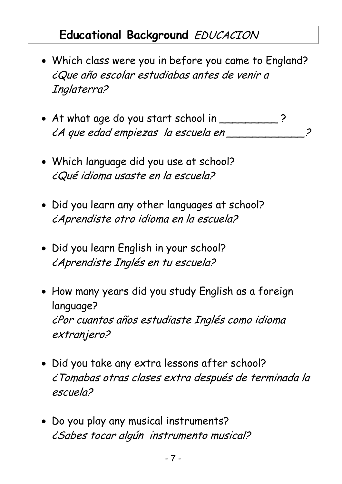### **Educational Background** EDUCACION

- Which class were you in before you came to England? ¿Que año escolar estudiabas antes de venir a Inglaterra?
- At what age do you start school in \_\_\_\_\_\_\_\_\_? ¿A que edad empiezas la escuela en \_\_\_\_\_\_\_\_\_\_\_\_?
- Which language did you use at school? ¿Qué idioma usaste en la escuela?
- Did you learn any other languages at school? ¿Aprendiste otro idioma en la escuela?
- Did you learn English in your school? ¿Aprendiste Inglés en tu escuela?
- How many years did you study English as a foreign language? ¿Por cuantos años estudiaste Inglés como idioma extranjero?
- Did you take any extra lessons after school? ¿Tomabas otras clases extra después de terminada la escuela?
- Do you play any musical instruments? ¿Sabes tocar algún instrumento musical?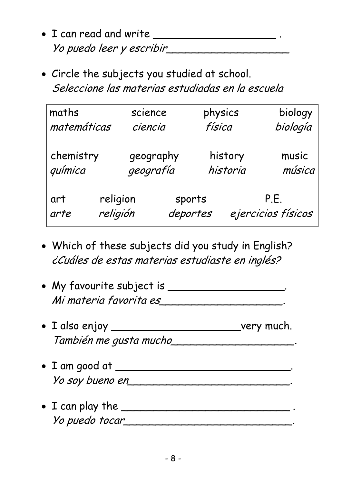- I can read and write \_\_\_\_\_\_\_\_\_\_\_\_\_\_\_\_\_\_\_ . Yo puedo leer y escribir\_\_\_\_\_\_\_\_\_\_\_\_\_\_\_\_\_\_\_
- Circle the subjects you studied at school. Seleccione las materias estudiadas en la escuela

| maths       |          | science   | physics  | biology            |
|-------------|----------|-----------|----------|--------------------|
| matemáticas |          | ciencia   | física   | biología           |
| chemistry   |          | geography | history  | music              |
| química     |          | geografía | historia | música             |
| art         | religion |           | sports   | P.E.               |
| arte        | religión |           | deportes | ejercicios físicos |

• Which of these subjects did you study in English? ¿Cuáles de estas materias estudiaste en inglés?

| • My favourite subject is |  |
|---------------------------|--|
| Mi materia favorita es    |  |

- I also enjoy \_\_\_\_\_\_\_\_\_\_\_\_\_\_\_\_\_\_\_\_very much. También me gusta mucho
- I am good at \_\_\_\_\_\_\_\_\_\_\_\_\_\_\_\_\_\_\_\_\_\_\_\_\_\_\_. Yo soy bueno en\_\_\_\_\_\_\_\_\_\_\_\_\_\_\_\_\_\_\_\_\_\_\_\_\_.
- I can play the  $\_$ Yo puedo tocar\_\_\_\_\_\_\_\_\_\_\_\_\_\_\_\_\_\_\_\_\_\_\_\_\_\_.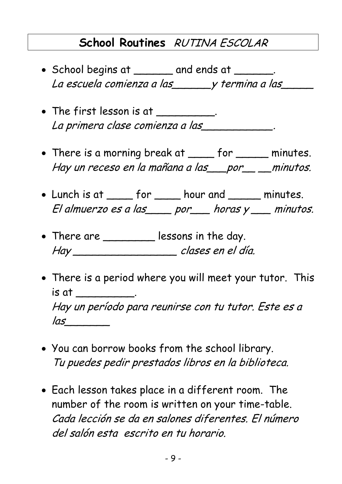### **School Routines** RUTINA ESCOLAR

- School begins at \_\_\_\_\_ and ends at \_\_\_\_\_\_. La escuela comienza a las y termina a las
- The first lesson is at \_\_\_\_\_\_\_\_\_. La primera clase comienza a las\_\_\_\_\_\_\_\_\_\_\_.
- There is a morning break at \_\_\_\_ for \_\_\_\_\_ minutes. Hay un receso en la mañana a las \_\_por\_\_ \_minutos.
- Lunch is at \_\_\_\_\_ for \_\_\_\_\_ hour and \_\_\_\_\_ minutes. El almuerzo es a las\_\_\_\_ por\_\_\_ horas y \_\_\_ minutos.
- There are \_\_\_\_\_\_\_\_\_ lessons in the day. Hay \_\_\_\_\_\_\_\_\_\_\_\_\_\_\_\_ clases en el día.
- There is a period where you will meet your tutor. This  $is$  at  $\_\_$ Hay un período para reunirse con tu tutor. Este es a las\_\_\_\_\_\_\_
- You can borrow books from the school library. Tu puedes pedir prestados libros en la biblioteca.
- Each lesson takes place in a different room. The number of the room is written on your time-table. Cada lección se da en salones diferentes. El número del salón esta escrito en tu horario.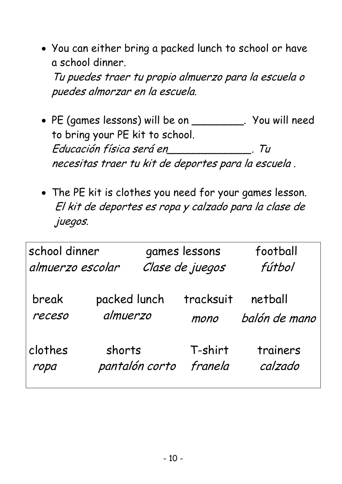• You can either bring a packed lunch to school or have a school dinner.

Tu puedes traer tu propio almuerzo para la escuela o puedes almorzar en la escuela.

- PE (games lessons) will be on \_\_\_\_\_\_\_\_. You will need to bring your PE kit to school. Educación física será en\_\_\_\_\_\_\_\_\_\_\_\_\_. Tu necesitas traer tu kit de deportes para la escuela .
- The PE kit is clothes you need for your games lesson. El kit de deportes es ropa y calzado para la clase de juegos.

| school dinner    |                                 |                | games lessons      | football                 |
|------------------|---------------------------------|----------------|--------------------|--------------------------|
| almuerzo escolar |                                 |                | Clase de juegos    | fútbol                   |
| break<br>receso  | packed lunch<br><i>almuerzo</i> |                | tracksuit<br>mono  | netball<br>balón de mano |
| clothes<br>ropa  | shorts                          | pantalón corto | T-shirt<br>franela | trainers<br>calzado      |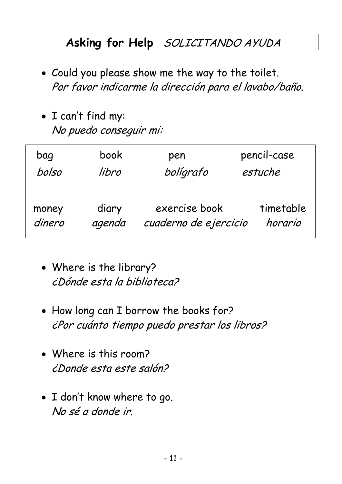### **Asking for Help** SOLICITANDO AYUDA

- Could you please show me the way to the toilet. Por favor indicarme la dirección para el lavabo/baño.
- I can't find my: No puedo conseguir mi:

| bag    | book   | pen                   | pencil-case |
|--------|--------|-----------------------|-------------|
| bolso  | libro  | bolígrafo             | estuche     |
| money  | diary  | exercise book         | timetable   |
| dinero | agenda | cuaderno de ejercicio | horario     |

- Where is the library? ¿Dónde esta la biblioteca?
- How long can I borrow the books for? ¿Por cuánto tiempo puedo prestar los libros?
- Where is this room? ¿Donde esta este salón?
- I don't know where to go. No sé a donde ir.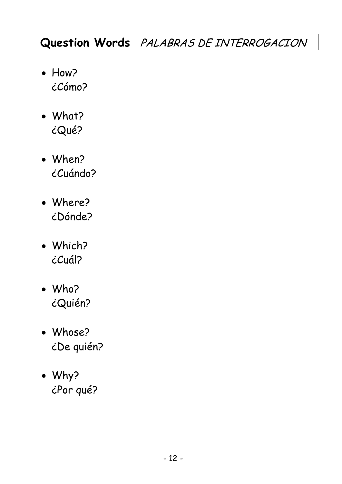### **Question Words** PALABRAS DE INTERROGACION

- How? ¿Cómo?
- What? ¿Qué?
- When? ¿Cuándo?
- Where? ¿Dónde?
- Which? ¿Cuál?
- Who? ¿Quién?
- Whose? ¿De quién?
- Why? ¿Por qué?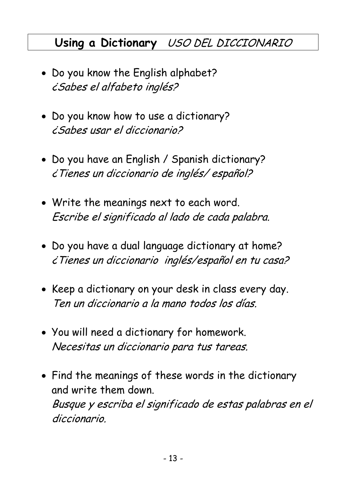### **Using a Dictionary** USO DEL DICCIONARIO

- Do you know the English alphabet? ¿Sabes el alfabeto inglés?
- Do you know how to use a dictionary? ¿Sabes usar el diccionario?
- Do you have an English / Spanish dictionary? ¿Tienes un diccionario de inglés/ español?
- Write the meanings next to each word. Escribe el significado al lado de cada palabra.
- Do you have a dual language dictionary at home? ¿Tienes un diccionario inglés/español en tu casa?
- Keep a dictionary on your desk in class every day. Ten un diccionario a la mano todos los días.
- You will need a dictionary for homework. Necesitas un diccionario para tus tareas.
- Find the meanings of these words in the dictionary and write them down. Busque y escriba el significado de estas palabras en el diccionario.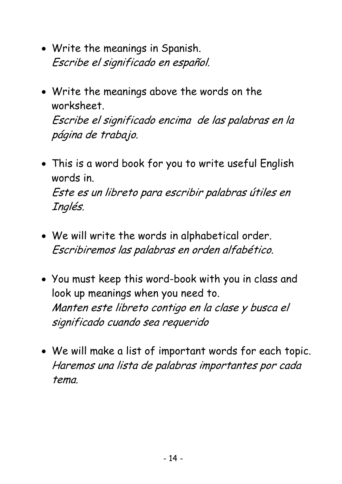- Write the meanings in Spanish. Escribe el significado en español.
- Write the meanings above the words on the worksheet. Escribe el significado encima de las palabras en la página de trabajo.
- This is a word book for you to write useful English words in. Este es un libreto para escribir palabras útiles en Inglés.
- We will write the words in alphabetical order. Escribiremos las palabras en orden alfabético.
- You must keep this word-book with you in class and look up meanings when you need to. Manten este libreto contigo en la clase y busca el significado cuando sea requerido
- We will make a list of important words for each topic. Haremos una lista de palabras importantes por cada tema.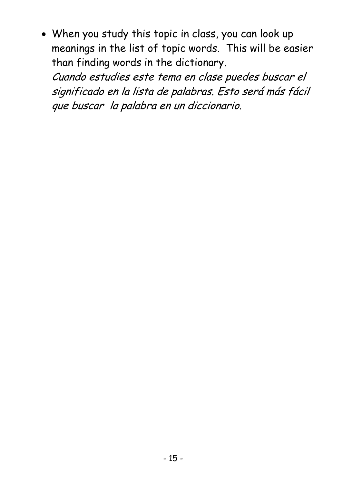• When you study this topic in class, you can look up meanings in the list of topic words. This will be easier than finding words in the dictionary.

Cuando estudies este tema en clase puedes buscar el significado en la lista de palabras. Esto será más fácil que buscar la palabra en un diccionario.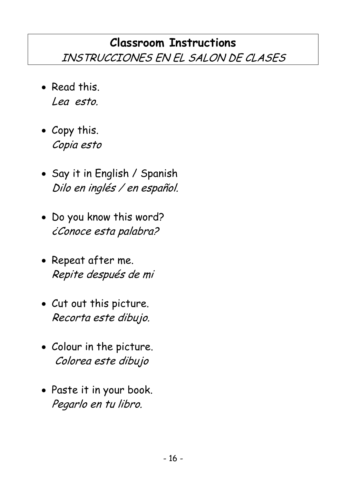### **Classroom Instructions**  INSTRUCCIONES EN EL SALON DE CLASES

- Read this. Lea esto.
- Copy this. Copia esto
- Say it in English / Spanish Dilo en inglés / en español.
- Do you know this word? ¿Conoce esta palabra?
- Repeat after me. Repite después de mi
- Cut out this picture. Recorta este dibujo.
- Colour in the picture. Colorea este dibujo
- Paste it in your book. Pegarlo en tu libro.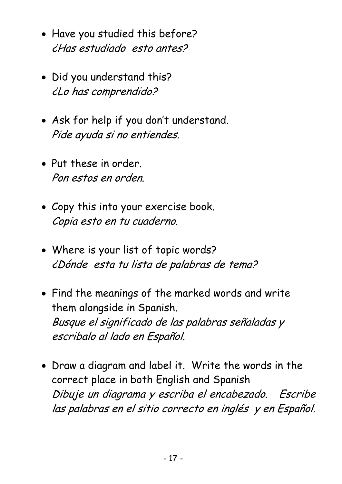- Have you studied this before? ¿Has estudiado esto antes?
- Did you understand this? ¿Lo has comprendido?
- Ask for help if you don't understand. Pide ayuda si no entiendes.
- Put these in order. Pon estos en orden.
- Copy this into your exercise book. Copia esto en tu cuaderno.
- Where is your list of topic words? ¿Dónde esta tu lista de palabras de tema?
- Find the meanings of the marked words and write them alongside in Spanish. Busque el significado de las palabras señaladas y escribalo al lado en Español.
- Draw a diagram and label it. Write the words in the correct place in both English and Spanish Dibuje un diagrama y escriba el encabezado. Escribe las palabras en el sitio correcto en inglés y en Español.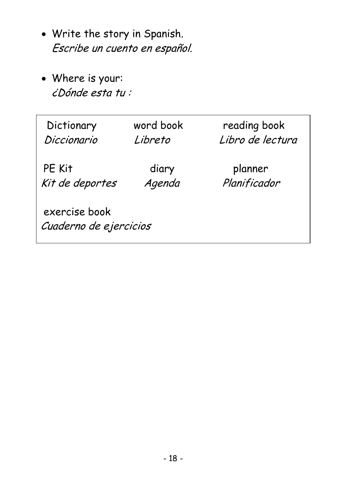- Write the story in Spanish. Escribe un cuento en español.
- Where is your: ¿Dónde esta tu :

| Dictionary                              | word book | reading book     |  |
|-----------------------------------------|-----------|------------------|--|
| Diccionario                             | Libreto   | Libro de lectura |  |
| PE Kit                                  | diary     | planner          |  |
| Kit de deportes                         | Agenda    | Planificador     |  |
| exercise book<br>Cuaderno de ejercicios |           |                  |  |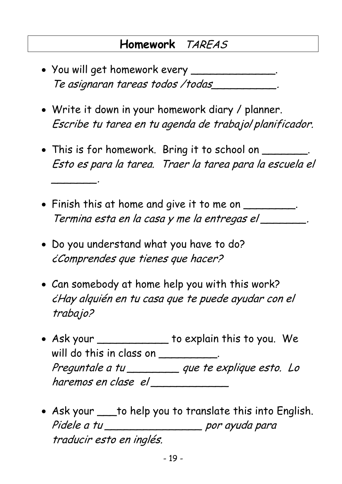- You will get homework every \_\_\_\_\_\_\_\_\_\_\_\_\_\_. Te asignaran tareas todos /todas\_\_\_\_\_\_\_\_\_\_.
- Write it down in your homework diary / planner. Escribe tu tarea en tu agenda de trabajo/planificador.
- This is for homework. Bring it to school on \_\_\_\_\_\_\_\_. Esto es para la tarea. Traer la tarea para la escuela el
- Finish this at home and give it to me on \_\_\_\_\_\_\_\_\_. Termina esta en la casa y me la entregas el \_\_\_\_\_\_\_.
- Do you understand what you have to do? ¿Comprendes que tienes que hacer?

\_\_\_\_\_\_\_.

- Can somebody at home help you with this work? ¿Hay alquién en tu casa que te puede ayudar con el trabajo?
- Ask your \_\_\_\_\_\_\_\_\_\_\_\_ to explain this to you. We will do this in class on \_\_\_\_\_\_\_\_\_\_\_ Preguntale a tu \_\_\_\_\_\_\_\_ que te explique esto. Lo haremos en clase el \_\_\_\_\_\_\_\_\_\_\_\_
- Ask your \_\_\_to help you to translate this into English. Pidele a tu \_\_\_\_\_\_\_\_\_\_\_\_\_\_\_\_\_\_\_\_ por ayuda para traducir esto en inglés.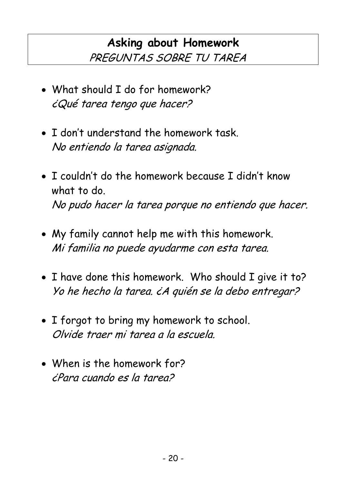- What should I do for homework? ¿Qué tarea tengo que hacer?
- I don't understand the homework task. No entiendo la tarea asignada.
- I couldn't do the homework because I didn't know what to do. No pudo hacer la tarea porque no entiendo que hacer.
- My family cannot help me with this homework. Mi familia no puede ayudarme con esta tarea.
- I have done this homework. Who should I give it to? Yo he hecho la tarea. ¿A quién se la debo entregar?
- I forgot to bring my homework to school. Olvide traer mi tarea a la escuela.
- When is the homework for? ¿Para cuando es la tarea?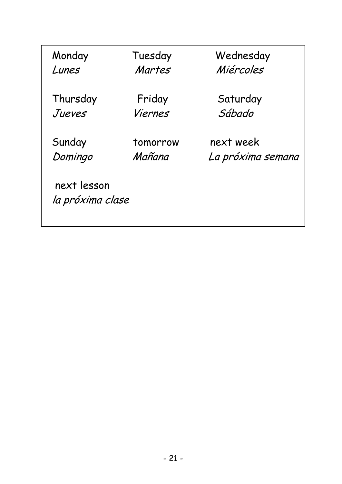| Monday           | Tuesday  | Wednesday         |
|------------------|----------|-------------------|
| Lunes            | Martes   | Miércoles         |
|                  |          |                   |
| Thursday         | Friday   | Saturday          |
| Jueves           | Viernes  | Sábado            |
|                  |          |                   |
| Sunday           | tomorrow | next week         |
| Domingo          | Mañana   | La próxima semana |
|                  |          |                   |
| next lesson      |          |                   |
| la próxima clase |          |                   |
|                  |          |                   |
|                  |          |                   |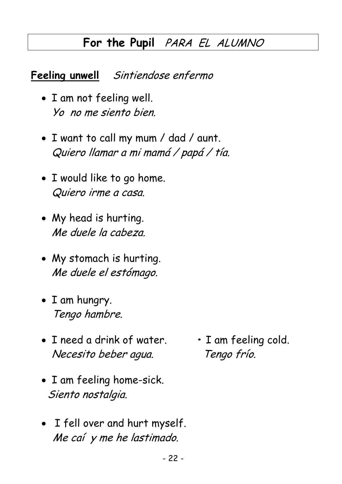### **For the Pupil** PARA EL ALUMNO

**Feeling unwell** Sintiendose enfermo

- I am not feeling well. Yo no me siento bien.
- I want to call my mum / dad / aunt. Quiero llamar a mi mamá / papá / tía.
- I would like to go home. Quiero irme a casa.
- My head is hurting. Me duele la cabeza.
- My stomach is hurting. Me duele el estómago.
- I am hungry. Tengo hambre.
- I need a drink of water. **•** I am feeling cold. Necesito beber agua. Tengo frío.
- I am feeling home-sick. Siento nostalgia.
- I fell over and hurt myself. Me caí y me he lastimado.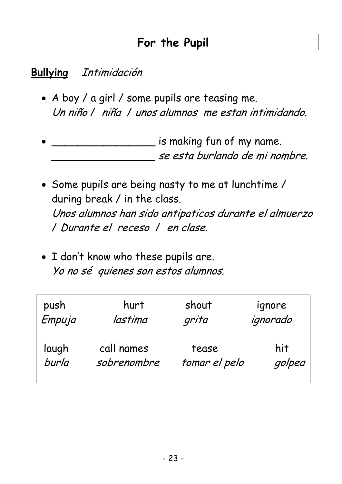### **For the Pupil**

#### **Bullying** Intimidación

- A boy / a girl / some pupils are teasing me. Un niño / niña / unos alumnos me estan intimidando.
- **Example 2 is making fun of my name.** \_\_\_\_\_\_\_\_\_\_\_\_\_\_\_\_ se esta burlando de mi nombre.
- Some pupils are being nasty to me at lunchtime / during break / in the class. Unos alumnos han sido antipaticos durante el almuerzo / Durante el receso / en clase.
- I don't know who these pupils are. Yo no sé quienes son estos alumnos.

| push   | hurt        | shout         | ignore   |
|--------|-------------|---------------|----------|
| Empuja | lastima     | grita         | ignorado |
| laugh  | call names  | tease         | hit      |
| burla  | sobrenombre | tomar el pelo | golpea   |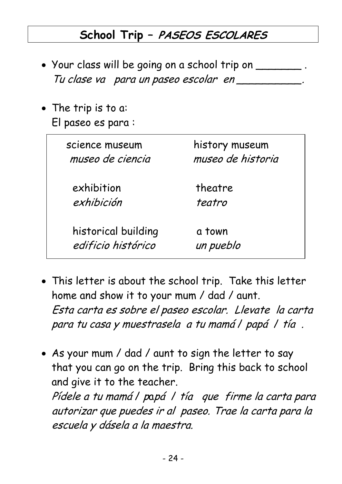### **School Trip – PASEOS ESCOLARES**

- Your class will be going on a school trip on  $\sqrt{2}$ Tu clase va para un paseo escolar en \_\_\_\_\_\_\_\_\_\_
- The trip is to a: El paseo es para :

| science museum      | history museum    |
|---------------------|-------------------|
| museo de ciencia    | museo de historia |
| exhibition          | theatre           |
| exhibición          | teatro            |
| historical building | a town            |
| edificio histórico  | un pueblo         |

- This letter is about the school trip. Take this letter home and show it to your mum / dad / aunt. Esta carta es sobre el paseo escolar. Llevate la carta para tu casa y muestrasela a tu mamá / papá / tía .
- As your mum / dad / aunt to sign the letter to say that you can go on the trip. Bring this back to school and give it to the teacher.

Pídele a tu mamá / papá / tía que firme la carta para autorizar que puedes ir al paseo. Trae la carta para la escuela y dásela a la maestra.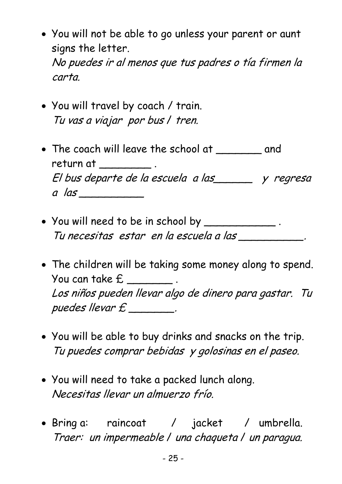- You will not be able to go unless your parent or aunt signs the letter. No puedes ir al menos que tus padres o tía firmen la carta.
- You will travel by coach / train. Tu vas a viajar por bus / tren.
- The coach will leave the school at \_\_\_\_\_\_\_ and return at \_\_\_\_\_\_\_\_ . El bus departe de la escuela a las\_\_\_\_\_\_ y regresa  $a$  las  $\overline{\phantom{a}}$
- You will need to be in school by \_\_\_\_\_\_\_\_\_\_\_\_. Tu necesitas estar en la escuela a las \_\_\_\_\_\_\_\_\_\_\_\_.
- The children will be taking some money along to spend. You can take  $E$  \_\_\_\_\_\_\_\_. Los niños pueden llevar algo de dinero para gastar. Tu puedes llevar £ \_\_\_\_\_\_\_.
- You will be able to buy drinks and snacks on the trip. Tu puedes comprar bebidas y golosinas en el paseo.
- You will need to take a packed lunch along. Necesitas llevar un almuerzo frío.
- Bring a: raincoat / jacket / umbrella. Traer: un impermeable / una chaqueta / un paragua.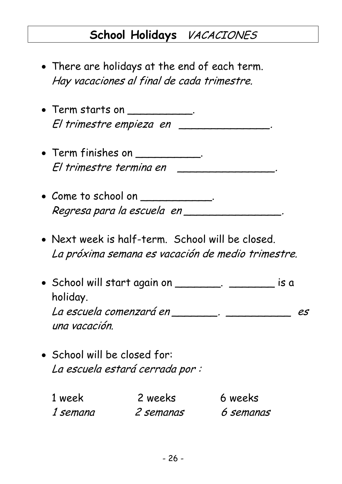### **School Holidays** VACACIONES

- There are holidays at the end of each term. Hay vacaciones al final de cada trimestre.
- Term starts on \_\_\_\_\_\_\_\_\_\_\_. El trimestre empieza en \_\_\_\_\_\_\_\_\_\_\_\_\_\_\_.
- Term finishes on \_\_\_\_\_\_\_\_\_\_. El trimestre termina en \_\_\_\_\_\_\_\_\_\_\_\_\_\_\_.
- Come to school on \_\_\_\_\_\_\_\_\_\_\_. Regresa para la escuela en *\_\_\_\_\_\_\_\_\_\_\_\_\_\_\_\_\_*
- Next week is half-term. School will be closed. La próxima semana es vacación de medio trimestre.
- School will start again on \_\_\_\_\_\_\_\_. \_\_\_\_\_\_\_\_\_ is a holiday. La escuela comenzará en \_\_\_\_\_\_\_\_.<br>
es una vacación.
- School will be closed for: La escuela estará cerrada por :

| 1 week   | 2 weeks   | 6 weeks   |
|----------|-----------|-----------|
| 1 semana | 2 semanas | 6 semanas |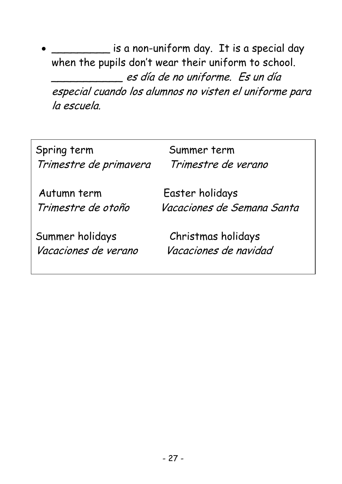\_ is a non-uniform day. It is a special day when the pupils don't wear their uniform to school. \_\_\_\_\_\_\_\_\_\_\_ es día de no uniforme. Es un día especial cuando los alumnos no visten el uniforme para la escuela.

| Spring term            | Summer term                |
|------------------------|----------------------------|
| Trimestre de primavera | Trimestre de verano        |
| Autumn term            | Easter holidays            |
| Trimestre de otoño     | Vacaciones de Semana Santa |
| Summer holidays        | Christmas holidays         |
| Vacaciones de verano   | Vacaciones de navidad      |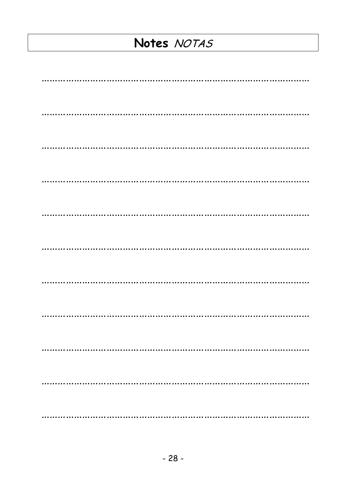## Notes NOTAS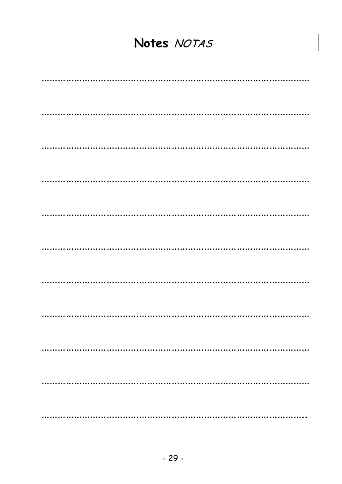## Notes NOTAS